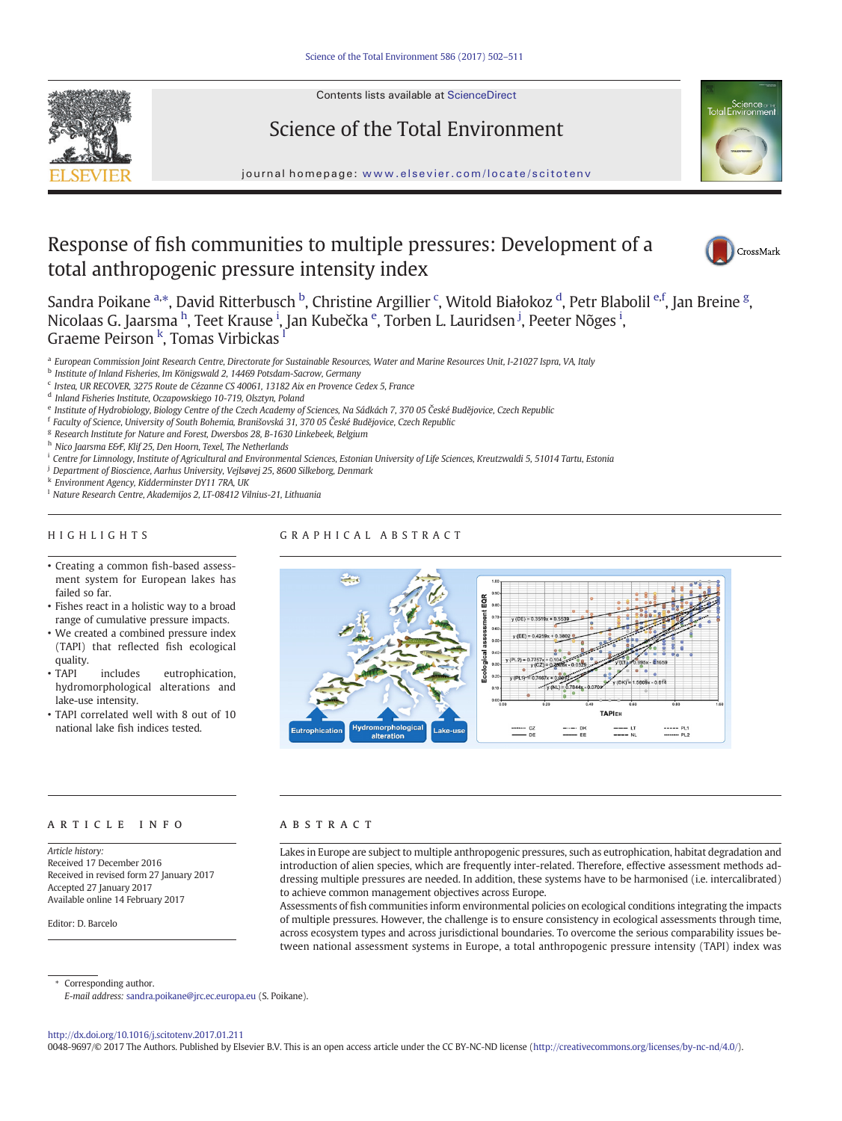

Contents lists available at ScienceDirect

# Science of the Total Environment



## Response of fish communities to multiple pressures: Development of a total anthropogenic pressure intensity index



Sandra Poikane <sup>a,\*</sup>, David Ritterbusch <sup>b</sup>, Christine Argillier <sup>c</sup>, Witold Białokoz <sup>d</sup>, Petr Blabolil <sup>e,f</sup>, Jan Breine <sup>g</sup>, Nicolaas G. Jaarsma <sup>h</sup>, Teet Krause <sup>i</sup>, Jan Kubečka <sup>e</sup>, Torben L. Lauridsen <sup>j</sup>, Peeter Nõges <sup>i</sup>, Graeme Peirson <sup>k</sup>, Tomas Virbickas <sup>l</sup>

a European Commission Joint Research Centre, Directorate for Sustainable Resources, Water and Marine Resources Unit, I-21027 Ispra, VA, Italy

b Institute of Inland Fisheries, Im Königswald 2, 14469 Potsdam-Sacrow, Germany

- <sup>c</sup> Irstea, UR RECOVER, 3275 Route de Cézanne CS 40061, 13182 Aix en Provence Cedex 5, France
- <sup>d</sup> Inland Fisheries Institute, Oczapowskiego 10-719, Olsztyn, Poland
- <sup>e</sup> Institute of Hydrobiology, Biology Centre of the Czech Academy of Sciences, Na Sádkách 7, 370 05 České Budějovice, Czech Republic
- <sup>f</sup> Faculty of Science, University of South Bohemia, Branišovská 31, 370 05 České Budějovice, Czech Republic
- <sup>g</sup> Research Institute for Nature and Forest, Dwersbos 28, B-1630 Linkebeek, Belgium
- h Nico Jaarsma E&F, Klif 25, Den Hoorn, Texel, The Netherlands
- <sup>i</sup> Centre for Limnology, Institute of Agricultural and Environmental Sciences, Estonian University of Life Sciences, Kreutzwaldi 5, 51014 Tartu, Estonia
- <sup>j</sup> Department of Bioscience, Aarhus University, Vejlsøvej 25, 8600 Silkeborg, Denmark

<sup>k</sup> Environment Agency, Kidderminster DY11 7RA, UK

<sup>l</sup> Nature Research Centre, Akademijos 2, LT-08412 Vilnius-21, Lithuania

## HIGHLIGHTS

## GRAPHICAL ABSTRACT

- Creating a common fish-based assessment system for European lakes has failed so far.
- Fishes react in a holistic way to a broad range of cumulative pressure impacts.
- We created a combined pressure index (TAPI) that reflected fish ecological quality.<br>• TAPI
- includes eutrophication. hydromorphological alterations and lake-use intensity.
- TAPI correlated well with 8 out of 10 national lake fish indices tested.



#### article info abstract

Article history: Received 17 December 2016 Received in revised form 27 January 2017 Accepted 27 January 2017 Available online 14 February 2017

Editor: D. Barcelo

Lakes in Europe are subject to multiple anthropogenic pressures, such as eutrophication, habitat degradation and introduction of alien species, which are frequently inter-related. Therefore, effective assessment methods addressing multiple pressures are needed. In addition, these systems have to be harmonised (i.e. intercalibrated) to achieve common management objectives across Europe.

Assessments of fish communities inform environmental policies on ecological conditions integrating the impacts of multiple pressures. However, the challenge is to ensure consistency in ecological assessments through time, across ecosystem types and across jurisdictional boundaries. To overcome the serious comparability issues between national assessment systems in Europe, a total anthropogenic pressure intensity (TAPI) index was

Corresponding author.

E-mail address: sandra.poikane@jrc.ec.europa.eu (S. Poikane).

http://dx.doi.org/10.1016/j.scitotenv.2017.01.211

0048-9697/© 2017 The Authors. Published by Elsevier B.V. This is an open access article under the CC BY-NC-ND license (http://creativecommons.org/licenses/by-nc-nd/4.0/).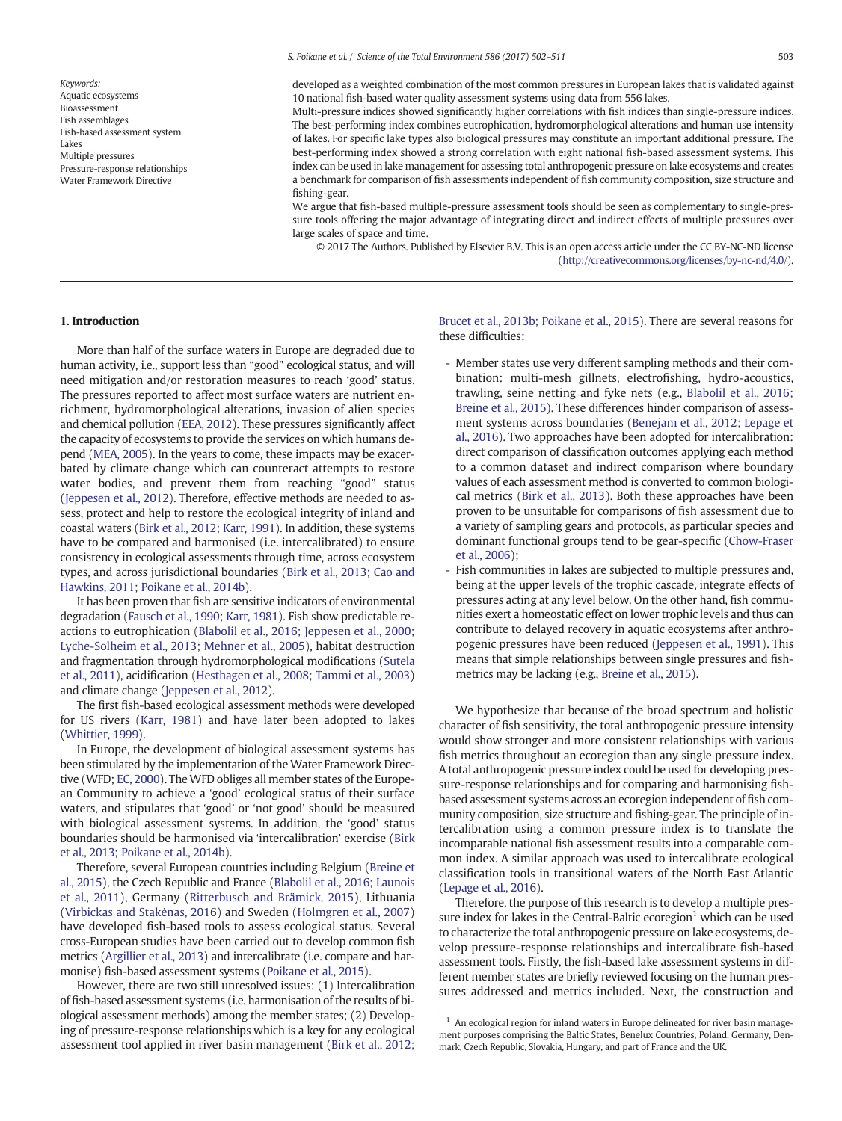Keywords: Aquatic ecosystems Bioassessment Fish assemblages Fish-based assessment system Lakes Multiple pressures Pressure-response relationships Water Framework Directive

Multi-pressure indices showed significantly higher correlations with fish indices than single-pressure indices. The best-performing index combines eutrophication, hydromorphological alterations and human use intensity of lakes. For specific lake types also biological pressures may constitute an important additional pressure. The best-performing index showed a strong correlation with eight national fish-based assessment systems. This index can be used in lake management for assessing total anthropogenic pressure on lake ecosystems and creates a benchmark for comparison of fish assessments independent of fish community composition, size structure and fishing-gear.

We argue that fish-based multiple-pressure assessment tools should be seen as complementary to single-pressure tools offering the major advantage of integrating direct and indirect effects of multiple pressures over large scales of space and time.

© 2017 The Authors. Published by Elsevier B.V. This is an open access article under the CC BY-NC-ND license (http://creativecommons.org/licenses/by-nc-nd/4.0/).

## 1. Introduction

More than half of the surface waters in Europe are degraded due to human activity, i.e., support less than "good" ecological status, and will need mitigation and/or restoration measures to reach 'good' status. The pressures reported to affect most surface waters are nutrient enrichment, hydromorphological alterations, invasion of alien species and chemical pollution (EEA, 2012). These pressures significantly affect the capacity of ecosystems to provide the services on which humans depend (MEA, 2005). In the years to come, these impacts may be exacerbated by climate change which can counteract attempts to restore water bodies, and prevent them from reaching "good" status (Jeppesen et al., 2012). Therefore, effective methods are needed to assess, protect and help to restore the ecological integrity of inland and coastal waters (Birk et al., 2012; Karr, 1991). In addition, these systems have to be compared and harmonised (i.e. intercalibrated) to ensure consistency in ecological assessments through time, across ecosystem types, and across jurisdictional boundaries (Birk et al., 2013; Cao and Hawkins, 2011; Poikane et al., 2014b).

It has been proven that fish are sensitive indicators of environmental degradation (Fausch et al., 1990; Karr, 1981). Fish show predictable reactions to eutrophication (Blabolil et al., 2016; Jeppesen et al., 2000; Lyche-Solheim et al., 2013; Mehner et al., 2005), habitat destruction and fragmentation through hydromorphological modifications (Sutela et al., 2011), acidification (Hesthagen et al., 2008; Tammi et al., 2003) and climate change (Jeppesen et al., 2012).

The first fish-based ecological assessment methods were developed for US rivers (Karr, 1981) and have later been adopted to lakes (Whittier, 1999).

In Europe, the development of biological assessment systems has been stimulated by the implementation of the Water Framework Directive (WFD; EC, 2000). The WFD obliges all member states of the European Community to achieve a 'good' ecological status of their surface waters, and stipulates that 'good' or 'not good' should be measured with biological assessment systems. In addition, the 'good' status boundaries should be harmonised via 'intercalibration' exercise (Birk et al., 2013; Poikane et al., 2014b).

Therefore, several European countries including Belgium (Breine et al., 2015), the Czech Republic and France (Blabolil et al., 2016; Launois et al., 2011), Germany (Ritterbusch and Brämick, 2015), Lithuania (Virbickas and Stakėnas, 2016) and Sweden (Holmgren et al., 2007) have developed fish-based tools to assess ecological status. Several cross-European studies have been carried out to develop common fish metrics (Argillier et al., 2013) and intercalibrate (i.e. compare and harmonise) fish-based assessment systems (Poikane et al., 2015).

However, there are two still unresolved issues: (1) Intercalibration of fish-based assessment systems (i.e. harmonisation of the results of biological assessment methods) among the member states; (2) Developing of pressure-response relationships which is a key for any ecological assessment tool applied in river basin management (Birk et al., 2012; Brucet et al., 2013b; Poikane et al., 2015). There are several reasons for these difficulties:

- Member states use very different sampling methods and their combination: multi-mesh gillnets, electrofishing, hydro-acoustics, trawling, seine netting and fyke nets (e.g., Blabolil et al., 2016; Breine et al., 2015). These differences hinder comparison of assessment systems across boundaries (Benejam et al., 2012; Lepage et al., 2016). Two approaches have been adopted for intercalibration: direct comparison of classification outcomes applying each method to a common dataset and indirect comparison where boundary values of each assessment method is converted to common biological metrics (Birk et al., 2013). Both these approaches have been proven to be unsuitable for comparisons of fish assessment due to a variety of sampling gears and protocols, as particular species and dominant functional groups tend to be gear-specific (Chow-Fraser et al., 2006);
- Fish communities in lakes are subjected to multiple pressures and, being at the upper levels of the trophic cascade, integrate effects of pressures acting at any level below. On the other hand, fish communities exert a homeostatic effect on lower trophic levels and thus can contribute to delayed recovery in aquatic ecosystems after anthropogenic pressures have been reduced (Jeppesen et al., 1991). This means that simple relationships between single pressures and fishmetrics may be lacking (e.g., Breine et al., 2015).

We hypothesize that because of the broad spectrum and holistic character of fish sensitivity, the total anthropogenic pressure intensity would show stronger and more consistent relationships with various fish metrics throughout an ecoregion than any single pressure index. A total anthropogenic pressure index could be used for developing pressure-response relationships and for comparing and harmonising fishbased assessment systems across an ecoregion independent of fish community composition, size structure and fishing-gear. The principle of intercalibration using a common pressure index is to translate the incomparable national fish assessment results into a comparable common index. A similar approach was used to intercalibrate ecological classification tools in transitional waters of the North East Atlantic (Lepage et al., 2016).

Therefore, the purpose of this research is to develop a multiple pressure index for lakes in the Central-Baltic ecoregion<sup>1</sup> which can be used to characterize the total anthropogenic pressure on lake ecosystems, develop pressure-response relationships and intercalibrate fish-based assessment tools. Firstly, the fish-based lake assessment systems in different member states are briefly reviewed focusing on the human pressures addressed and metrics included. Next, the construction and

 $1$  An ecological region for inland waters in Europe delineated for river basin management purposes comprising the Baltic States, Benelux Countries, Poland, Germany, Denmark, Czech Republic, Slovakia, Hungary, and part of France and the UK.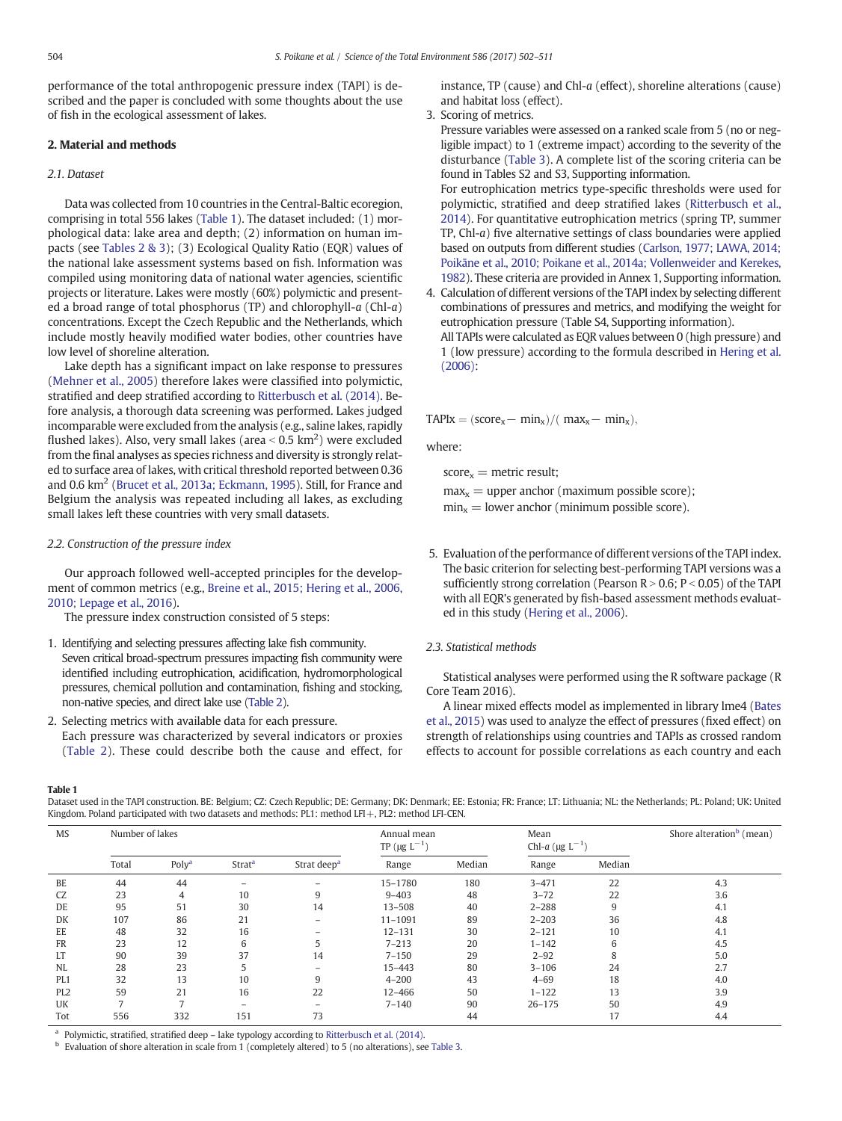performance of the total anthropogenic pressure index (TAPI) is described and the paper is concluded with some thoughts about the use of fish in the ecological assessment of lakes.

## 2. Material and methods

## 2.1. Dataset

Data was collected from 10 countries in the Central-Baltic ecoregion, comprising in total 556 lakes (Table 1). The dataset included: (1) morphological data: lake area and depth; (2) information on human impacts (see Tables 2 & 3); (3) Ecological Quality Ratio (EQR) values of the national lake assessment systems based on fish. Information was compiled using monitoring data of national water agencies, scientific projects or literature. Lakes were mostly (60%) polymictic and presented a broad range of total phosphorus (TP) and chlorophyll- $a$  (Chl- $a$ ) concentrations. Except the Czech Republic and the Netherlands, which include mostly heavily modified water bodies, other countries have low level of shoreline alteration.

Lake depth has a significant impact on lake response to pressures (Mehner et al., 2005) therefore lakes were classified into polymictic, stratified and deep stratified according to Ritterbusch et al. (2014). Before analysis, a thorough data screening was performed. Lakes judged incomparable were excluded from the analysis (e.g., saline lakes, rapidly flushed lakes). Also, very small lakes (area  $<$  0.5 km<sup>2</sup>) were excluded from the final analyses as species richness and diversity is strongly related to surface area of lakes, with critical threshold reported between 0.36 and 0.6 km<sup>2</sup> (Brucet et al., 2013a; Eckmann, 1995). Still, for France and Belgium the analysis was repeated including all lakes, as excluding small lakes left these countries with very small datasets.

#### 2.2. Construction of the pressure index

Our approach followed well-accepted principles for the development of common metrics (e.g., Breine et al., 2015; Hering et al., 2006, 2010; Lepage et al., 2016).

The pressure index construction consisted of 5 steps:

- 1. Identifying and selecting pressures affecting lake fish community. Seven critical broad-spectrum pressures impacting fish community were identified including eutrophication, acidification, hydromorphological pressures, chemical pollution and contamination, fishing and stocking, non-native species, and direct lake use (Table 2).
- 2. Selecting metrics with available data for each pressure. Each pressure was characterized by several indicators or proxies (Table 2). These could describe both the cause and effect, for

instance, TP (cause) and Chl-a (effect), shoreline alterations (cause) and habitat loss (effect).

3. Scoring of metrics.

Pressure variables were assessed on a ranked scale from 5 (no or negligible impact) to 1 (extreme impact) according to the severity of the disturbance (Table 3). A complete list of the scoring criteria can be found in Tables S2 and S3, Supporting information.

For eutrophication metrics type-specific thresholds were used for polymictic, stratified and deep stratified lakes (Ritterbusch et al., 2014). For quantitative eutrophication metrics (spring TP, summer TP, Chl-a) five alternative settings of class boundaries were applied based on outputs from different studies (Carlson, 1977; LAWA, 2014; Poikāne et al., 2010; Poikane et al., 2014a; Vollenweider and Kerekes, 1982). These criteria are provided in Annex 1, Supporting information.

4. Calculation of different versions of the TAPI index by selecting different combinations of pressures and metrics, and modifying the weight for eutrophication pressure (Table S4, Supporting information). All TAPIs were calculated as EQR values between 0 (high pressure) and 1 (low pressure) according to the formula described in Hering et al. (2006):

 $TAPIx = (score_x - min_x) / (max_x - min_x),$ 

where:

 $score_x =$  metric result;

 $max<sub>x</sub>$  = upper anchor (maximum possible score);  $min_x = lower$  anchor (minimum possible score).

5. Evaluation of the performance of different versions of the TAPI index. The basic criterion for selecting best-performing TAPI versions was a sufficiently strong correlation (Pearson  $R > 0.6$ ; P < 0.05) of the TAPI with all EQR's generated by fish-based assessment methods evaluated in this study (Hering et al., 2006).

#### 2.3. Statistical methods

Statistical analyses were performed using the R software package (R Core Team 2016).

A linear mixed effects model as implemented in library lme4 (Bates et al., 2015) was used to analyze the effect of pressures (fixed effect) on strength of relationships using countries and TAPIs as crossed random effects to account for possible correlations as each country and each

Table 1

Dataset used in the TAPI construction. BE: Belgium; CZ: Czech Republic; DE: Germany; DK: Denmark; EE: Estonia; FR: France; LT: Lithuania; NL: the Netherlands; PL: Poland; UK: United Kingdom. Poland participated with two datasets and methods: PL1: method LFI+, PL2: method LFI-CEN.

| <b>MS</b>       | Number of lakes |                   |                          | Annual mean<br>TP ( $\mu$ g L <sup>-1</sup> ) |             | Mean<br>Chl- <i>a</i> (µg $L^{-1}$ ) |            | Shore alteration <sup>b</sup> (mean) |     |
|-----------------|-----------------|-------------------|--------------------------|-----------------------------------------------|-------------|--------------------------------------|------------|--------------------------------------|-----|
|                 | Total           | Poly <sup>a</sup> | <b>Strat<sup>a</sup></b> | Strat deep <sup>a</sup>                       | Range       | Median                               | Range      | Median                               |     |
| BE              | 44              | 44                |                          | $\qquad \qquad -$                             | 15-1780     | 180                                  | $3 - 471$  | 22                                   | 4.3 |
| CZ              | 23              | 4                 | 10                       | 9                                             | $9 - 403$   | 48                                   | $3 - 72$   | 22                                   | 3.6 |
| DE              | 95              | 51                | 30                       | 14                                            | $13 - 508$  | 40                                   | $2 - 288$  | 9                                    | 4.1 |
| DK              | 107             | 86                | 21                       | $-$                                           | $11 - 1091$ | 89                                   | $2 - 203$  | 36                                   | 4.8 |
| EE              | 48              | 32                | 16                       |                                               | $12 - 131$  | 30                                   | $2 - 121$  | 10                                   | 4.1 |
| FR              | 23              | 12                | 6                        |                                               | $7 - 213$   | 20                                   | $1 - 142$  | 6                                    | 4.5 |
| <b>LT</b>       | 90              | 39                | 37                       | 14                                            | $7 - 150$   | 29                                   | $2 - 92$   | 8                                    | 5.0 |
| NL              | 28              | 23                |                          | $\overline{\phantom{0}}$                      | $15 - 443$  | 80                                   | $3 - 106$  | 24                                   | 2.7 |
| PL <sub>1</sub> | 32              | 13                | 10                       | 9                                             | $4 - 200$   | 43                                   | $4 - 69$   | 18                                   | 4.0 |
| PL <sub>2</sub> | 59              | 21                | 16                       | 22                                            | $12 - 466$  | 50                                   | $1 - 122$  | 13                                   | 3.9 |
| UK              |                 |                   | $\qquad \qquad -$        |                                               | $7 - 140$   | 90                                   | $26 - 175$ | 50                                   | 4.9 |
| Tot             | 556             | 332               | 151                      | 73                                            |             | 44                                   |            | 17                                   | 4.4 |

<sup>a</sup> Polymictic, stratified, stratified deep - lake typology according to Ritterbusch et al. (2014).

<sup>b</sup> Evaluation of shore alteration in scale from 1 (completely altered) to 5 (no alterations), see Table 3.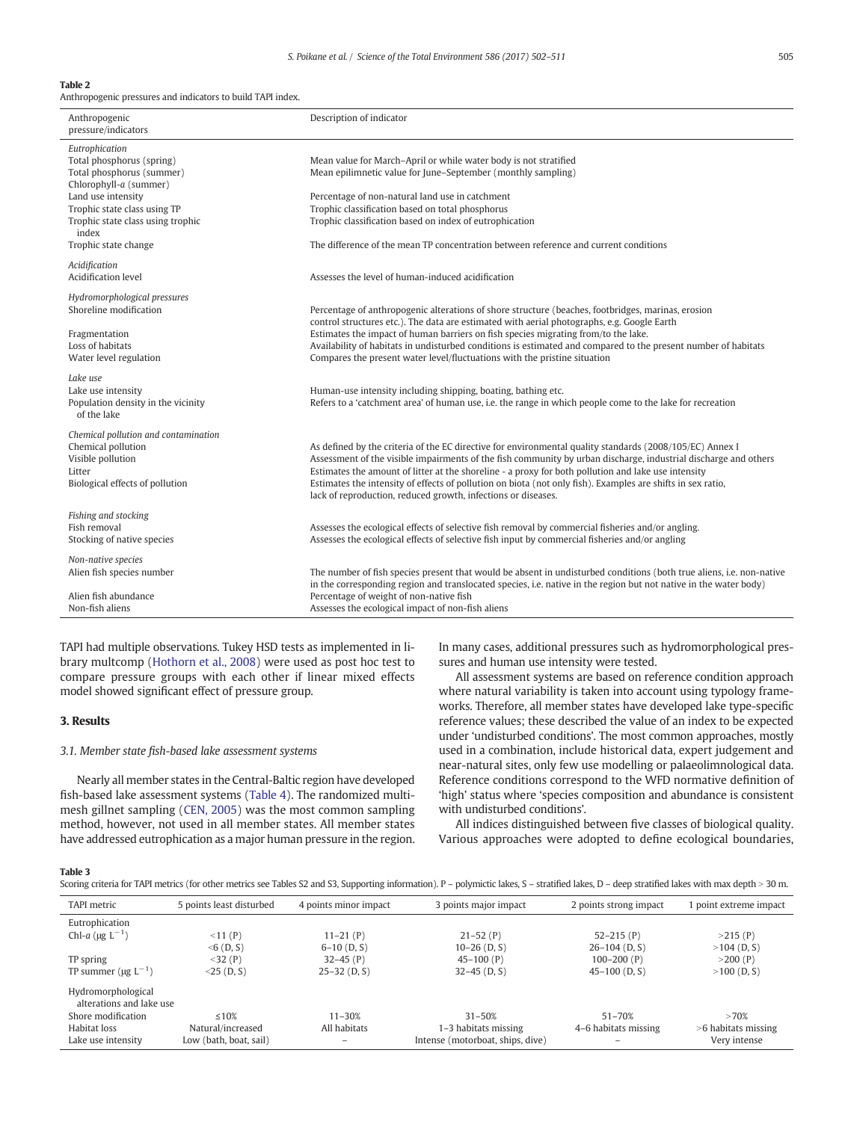## Table 2

Anthropogenic pressures and indicators to build TAPI index.

| Anthropogenic<br>pressure/indicators                                                                                                                                                                                           | Description of indicator                                                                                                                                                                                                                                                                                                                                                                                                                                                                                           |
|--------------------------------------------------------------------------------------------------------------------------------------------------------------------------------------------------------------------------------|--------------------------------------------------------------------------------------------------------------------------------------------------------------------------------------------------------------------------------------------------------------------------------------------------------------------------------------------------------------------------------------------------------------------------------------------------------------------------------------------------------------------|
| Eutrophication<br>Total phosphorus (spring)<br>Total phosphorus (summer)<br>Chlorophyll-a (summer)<br>Land use intensity<br>Trophic state class using TP<br>Trophic state class using trophic<br>index<br>Trophic state change | Mean value for March-April or while water body is not stratified<br>Mean epilimnetic value for June-September (monthly sampling)<br>Percentage of non-natural land use in catchment<br>Trophic classification based on total phosphorus<br>Trophic classification based on index of eutrophication<br>The difference of the mean TP concentration between reference and current conditions                                                                                                                         |
| Acidification<br>Acidification level                                                                                                                                                                                           | Assesses the level of human-induced acidification                                                                                                                                                                                                                                                                                                                                                                                                                                                                  |
| Hydromorphological pressures<br>Shoreline modification<br>Fragmentation<br>Loss of habitats<br>Water level regulation                                                                                                          | Percentage of anthropogenic alterations of shore structure (beaches, footbridges, marinas, erosion<br>control structures etc.). The data are estimated with aerial photographs, e.g. Google Earth<br>Estimates the impact of human barriers on fish species migrating from/to the lake.<br>Availability of habitats in undisturbed conditions is estimated and compared to the present number of habitats<br>Compares the present water level/fluctuations with the pristine situation                             |
| Lake use<br>Lake use intensity<br>Population density in the vicinity<br>of the lake                                                                                                                                            | Human-use intensity including shipping, boating, bathing etc.<br>Refers to a 'catchment area' of human use, i.e. the range in which people come to the lake for recreation                                                                                                                                                                                                                                                                                                                                         |
| Chemical pollution and contamination<br>Chemical pollution<br>Visible pollution<br>Litter<br>Biological effects of pollution                                                                                                   | As defined by the criteria of the EC directive for environmental quality standards (2008/105/EC) Annex I<br>Assessment of the visible impairments of the fish community by urban discharge, industrial discharge and others<br>Estimates the amount of litter at the shoreline - a proxy for both pollution and lake use intensity<br>Estimates the intensity of effects of pollution on biota (not only fish). Examples are shifts in sex ratio,<br>lack of reproduction, reduced growth, infections or diseases. |
| Fishing and stocking<br>Fish removal<br>Stocking of native species                                                                                                                                                             | Assesses the ecological effects of selective fish removal by commercial fisheries and/or angling.<br>Assesses the ecological effects of selective fish input by commercial fisheries and/or angling                                                                                                                                                                                                                                                                                                                |
| Non-native species<br>Alien fish species number<br>Alien fish abundance<br>Non-fish aliens                                                                                                                                     | The number of fish species present that would be absent in undisturbed conditions (both true aliens, i.e. non-native<br>in the corresponding region and translocated species, i.e. native in the region but not native in the water body)<br>Percentage of weight of non-native fish<br>Assesses the ecological impact of non-fish aliens                                                                                                                                                                          |

TAPI had multiple observations. Tukey HSD tests as implemented in library multcomp (Hothorn et al., 2008) were used as post hoc test to compare pressure groups with each other if linear mixed effects model showed significant effect of pressure group.

## 3. Results

### 3.1. Member state fish-based lake assessment systems

Nearly all member states in the Central-Baltic region have developed fish-based lake assessment systems (Table 4). The randomized multimesh gillnet sampling (CEN, 2005) was the most common sampling method, however, not used in all member states. All member states have addressed eutrophication as a major human pressure in the region. In many cases, additional pressures such as hydromorphological pressures and human use intensity were tested.

All assessment systems are based on reference condition approach where natural variability is taken into account using typology frameworks. Therefore, all member states have developed lake type-specific reference values; these described the value of an index to be expected under 'undisturbed conditions'. The most common approaches, mostly used in a combination, include historical data, expert judgement and near-natural sites, only few use modelling or palaeolimnological data. Reference conditions correspond to the WFD normative definition of 'high' status where 'species composition and abundance is consistent with undisturbed conditions'.

All indices distinguished between five classes of biological quality. Various approaches were adopted to define ecological boundaries,

#### Table 3

Scoring criteria for TAPI metrics (for other metrics see Tables S2 and S3, Supporting information). P - polymictic lakes, S - stratified lakes, D - deep stratified lakes with max depth > 30 m.

| TAPI metric                                    | 5 points least disturbed | 4 points minor impact | 3 points major impact            | 2 points strong impact | 1 point extreme impact |
|------------------------------------------------|--------------------------|-----------------------|----------------------------------|------------------------|------------------------|
| Eutrophication                                 |                          |                       |                                  |                        |                        |
| Chl-a ( $\mu$ g L <sup>-1</sup> )              | < 11 (P)                 | $11-21$ (P)           | $21 - 52$ (P)                    | $52 - 215$ (P)         | >215(P)                |
|                                                | $<$ 6 (D, S)             | $6-10$ (D, S)         | $10-26$ (D, S)                   | $26-104$ (D, S)        | $>104$ (D, S)          |
| TP spring                                      | $<$ 32 (P)               | $32-45(P)$            | $45-100(P)$                      | $100 - 200(P)$         | >200(P)                |
| TP summer ( $\mu$ g L <sup>-1</sup> )          | $<$ 25 (D, S)            | $25-32$ (D, S)        | $32-45$ (D, S)                   | $45-100$ (D, S)        | $>100$ (D, S)          |
| Hydromorphological<br>alterations and lake use |                          |                       |                                  |                        |                        |
| Shore modification                             | $\leq 10\%$              | $11 - 30%$            | $31 - 50%$                       | $51 - 70%$             | >70%                   |
| Habitat loss                                   | Natural/increased        | All habitats          | 1–3 habitats missing             | 4–6 habitats missing   | $>6$ habitats missing  |
| Lake use intensity                             | Low (bath, boat, sail)   |                       | Intense (motorboat, ships, dive) |                        | Very intense           |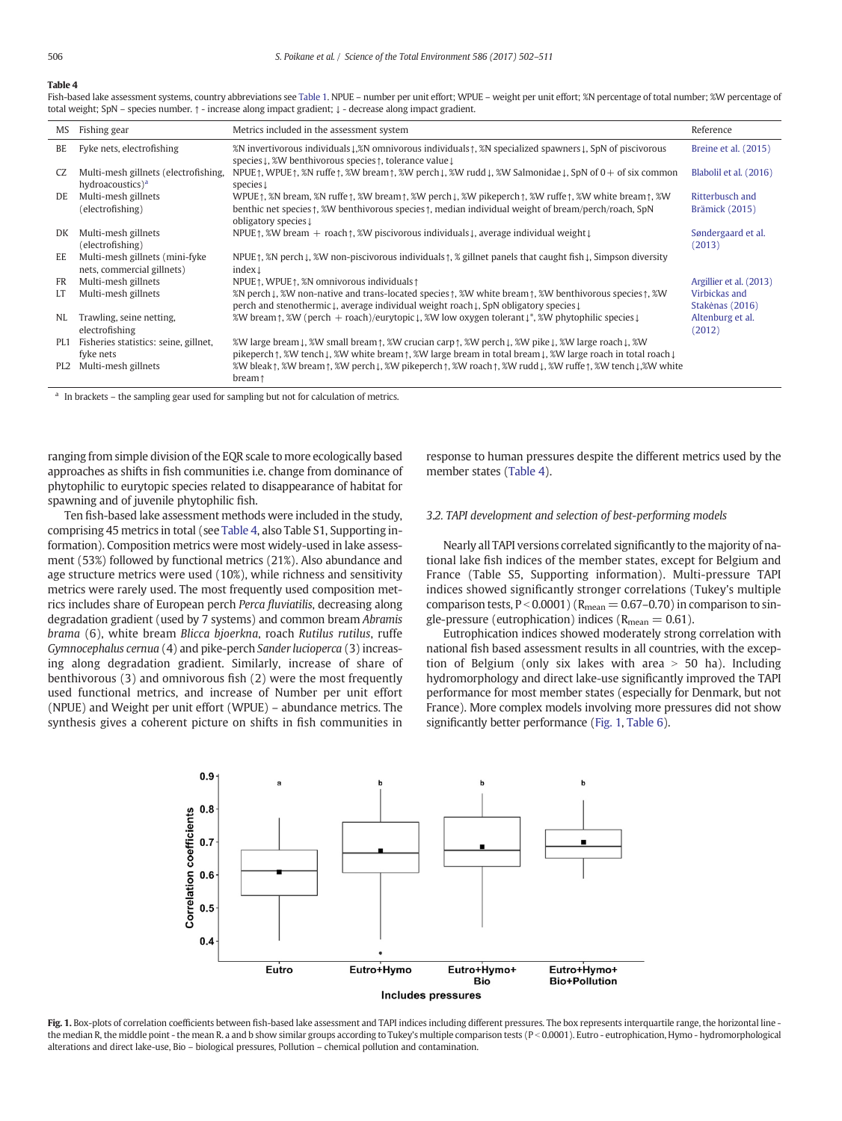## Table 4

Fish-based lake assessment systems, country abbreviations see Table 1. NPUE – number per unit effort; WPUE – weight per unit effort; %N percentage of total number; %W percentage of total weight; SpN – species number. ↑ - increase along impact gradient; ↓ - decrease along impact gradient.

| <b>MS</b>       | Fishing gear                                                         | Metrics included in the assessment system                                                                                                                                                                                                                                                                                                                                 | Reference                         |
|-----------------|----------------------------------------------------------------------|---------------------------------------------------------------------------------------------------------------------------------------------------------------------------------------------------------------------------------------------------------------------------------------------------------------------------------------------------------------------------|-----------------------------------|
| BE              | Fyke nets, electrofishing                                            | %N invertivorous individuals $\downarrow$ ,%N omnivorous individuals $\uparrow$ , %N specialized spawners $\downarrow$ , SpN of piscivorous<br>species L, %W benthivorous species $\uparrow$ , tolerance value L                                                                                                                                                          | Breine et al. (2015)              |
| CZ              | Multi-mesh gillnets (electrofishing,<br>hydroacoustics) <sup>a</sup> | NPUE $\uparrow$ , WPUE $\uparrow$ , $\&$ N ruffe $\uparrow$ , $\&$ W bream $\uparrow$ , $\&$ W perch $\downarrow$ , $\&$ W rudd $\downarrow$ , $\&$ W Salmonidae $\downarrow$ , SpN of 0 + of six common<br>species $\downarrow$                                                                                                                                          | Blabolil et al. (2016)            |
| DE.             | Multi-mesh gillnets<br>(electrofishing)                              | WPUE $\uparrow$ , $\chi$ N bream, $\chi$ N ruffe $\uparrow$ , $\chi$ W bream $\uparrow$ , $\chi$ W perch $\downarrow$ , $\chi$ W pikeperch $\uparrow$ , $\chi$ W ruffe $\uparrow$ , $\chi$ W white bream $\uparrow$ , $\chi$ W<br>benthic net species 1, %W benthivorous species 1, median individual weight of bream/perch/roach, SpN<br>obligatory species $\downarrow$ | Ritterbusch and<br>Brämick (2015) |
| DK              | Multi-mesh gillnets<br>(electrofishing)                              | NPUE $\uparrow$ , %W bream + roach $\uparrow$ , %W piscivorous individuals $\downarrow$ , average individual weight $\downarrow$                                                                                                                                                                                                                                          | Søndergaard et al.<br>(2013)      |
| EE              | Multi-mesh gillnets (mini-fyke<br>nets, commercial gillnets)         | NPUE $\uparrow$ , $\chi$ N perch $\downarrow$ , $\chi$ W non-piscivorous individuals $\uparrow$ , $\chi$ gillnet panels that caught fish $\downarrow$ , Simpson diversity<br>index $\downarrow$                                                                                                                                                                           |                                   |
| FR              | Multi-mesh gillnets                                                  | NPUE $\uparrow$ , WPUE $\uparrow$ , %N omnivorous individuals $\uparrow$                                                                                                                                                                                                                                                                                                  | Argillier et al. (2013)           |
| LT.             | Multi-mesh gillnets                                                  | %N perch L, %W non-native and trans-located species $\uparrow$ , %W white bream $\uparrow$ , %W benthivorous species $\uparrow$ , %W<br>perch and stenothermic↓, average individual weight roach↓, SpN obligatory species↓                                                                                                                                                | Virbickas and<br>Stakėnas (2016)  |
| NL              | Trawling, seine netting,<br>electrofishing                           | %W bream $\uparrow$ , %W (perch + roach)/eurytopic $\downarrow$ , %W low oxygen tolerant $\downarrow^*$ , %W phytophilic species $\downarrow$                                                                                                                                                                                                                             | Altenburg et al.<br>(2012)        |
| PL1             | Fisheries statistics: seine, gillnet,<br>fyke nets                   | %W large bream↓, %W small bream↑, %W crucian carp↑, %W perch↓, %W pike↓, %W large roach↓, %W<br>pikeperch $\uparrow$ , $\mathcal{W}$ tench $\downarrow$ , $\mathcal{W}$ white bream $\uparrow$ , $\mathcal{W}$ large bream in total bream $\downarrow$ , $\mathcal{W}$ large roach in total roach $\downarrow$                                                            |                                   |
| PL <sub>2</sub> | Multi-mesh gillnets                                                  | %W bleak ↑, %W bream ↑, %W perch ↓, %W pikeperch ↑, %W roach ↑, %W rudd ↓, %W ruffe ↑, %W tench ↓, %W white<br>bream <sub>1</sub>                                                                                                                                                                                                                                         |                                   |

In brackets – the sampling gear used for sampling but not for calculation of metrics.

ranging from simple division of the EQR scale to more ecologically based approaches as shifts in fish communities i.e. change from dominance of phytophilic to eurytopic species related to disappearance of habitat for spawning and of juvenile phytophilic fish.

Ten fish-based lake assessment methods were included in the study, comprising 45 metrics in total (see Table 4, also Table S1, Supporting information). Composition metrics were most widely-used in lake assessment (53%) followed by functional metrics (21%). Also abundance and age structure metrics were used (10%), while richness and sensitivity metrics were rarely used. The most frequently used composition metrics includes share of European perch Perca fluviatilis, decreasing along degradation gradient (used by 7 systems) and common bream Abramis brama (6), white bream Blicca bjoerkna, roach Rutilus rutilus, ruffe Gymnocephalus cernua (4) and pike-perch Sander lucioperca (3) increasing along degradation gradient. Similarly, increase of share of benthivorous (3) and omnivorous fish (2) were the most frequently used functional metrics, and increase of Number per unit effort (NPUE) and Weight per unit effort (WPUE) – abundance metrics. The synthesis gives a coherent picture on shifts in fish communities in response to human pressures despite the different metrics used by the member states (Table 4).

## 3.2. TAPI development and selection of best-performing models

Nearly all TAPI versions correlated significantly to the majority of national lake fish indices of the member states, except for Belgium and France (Table S5, Supporting information). Multi-pressure TAPI indices showed significantly stronger correlations (Tukey's multiple comparison tests,  $P < 0.0001$ ) ( $R_{mean} = 0.67$ –0.70) in comparison to single-pressure (eutrophication) indices ( $R_{mean} = 0.61$ ).

Eutrophication indices showed moderately strong correlation with national fish based assessment results in all countries, with the exception of Belgium (only six lakes with area  $> 50$  ha). Including hydromorphology and direct lake-use significantly improved the TAPI performance for most member states (especially for Denmark, but not France). More complex models involving more pressures did not show significantly better performance (Fig. 1, Table 6).



Fig. 1. Box-plots of correlation coefficients between fish-based lake assessment and TAPI indices including different pressures. The box represents interquartile range, the horizontal line the median R, the middle point - the mean R. a and b show similar groups according to Tukey's multiple comparison tests (P < 0.0001). Eutro - eutrophication, Hymo - hydromorphological alterations and direct lake-use, Bio – biological pressures, Pollution – chemical pollution and contamination.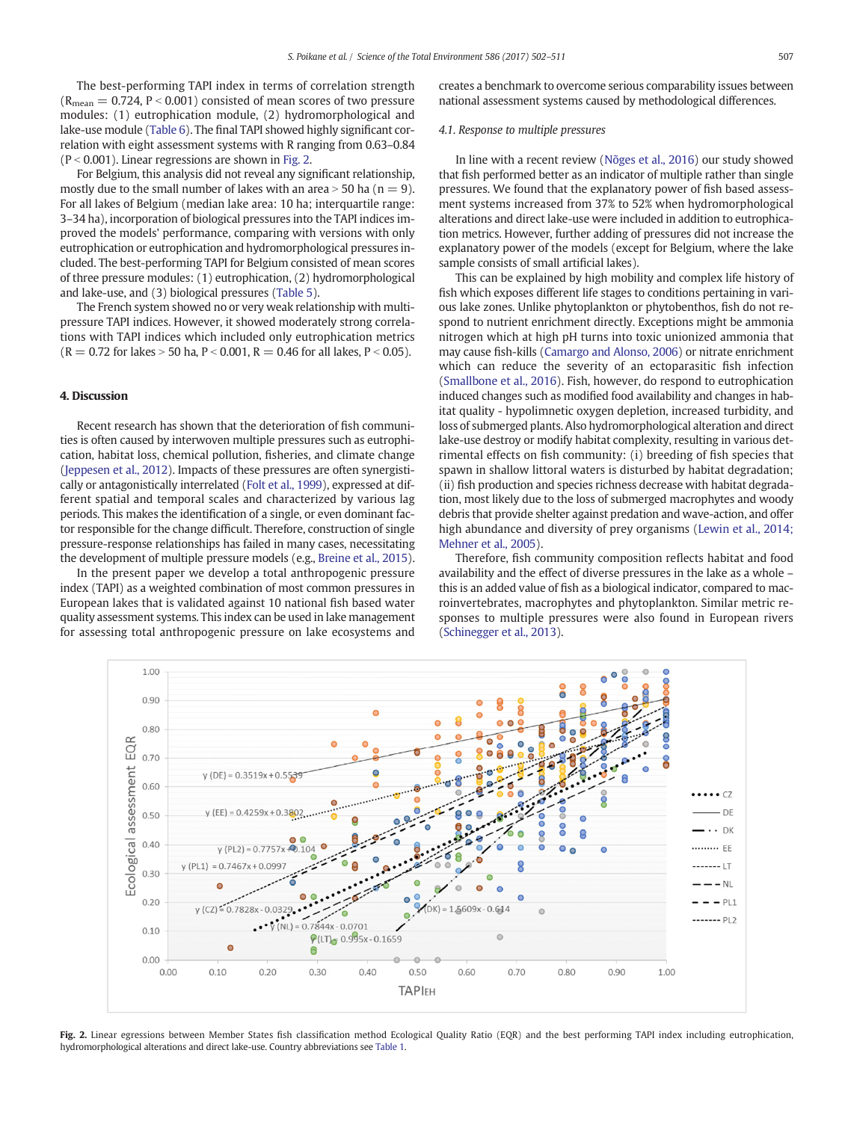The best-performing TAPI index in terms of correlation strength  $(R_{mean} = 0.724, P < 0.001)$  consisted of mean scores of two pressure modules: (1) eutrophication module, (2) hydromorphological and lake-use module (Table 6). The final TAPI showed highly significant correlation with eight assessment systems with R ranging from 0.63–0.84  $(P < 0.001)$ . Linear regressions are shown in Fig. 2.

For Belgium, this analysis did not reveal any significant relationship, mostly due to the small number of lakes with an area  $>$  50 ha (n = 9). For all lakes of Belgium (median lake area: 10 ha; interquartile range: 3–34 ha), incorporation of biological pressures into the TAPI indices improved the models' performance, comparing with versions with only eutrophication or eutrophication and hydromorphological pressures included. The best-performing TAPI for Belgium consisted of mean scores of three pressure modules: (1) eutrophication, (2) hydromorphological and lake-use, and (3) biological pressures (Table 5).

The French system showed no or very weak relationship with multipressure TAPI indices. However, it showed moderately strong correlations with TAPI indices which included only eutrophication metrics  $(R = 0.72$  for lakes  $> 50$  ha, P < 0.001, R = 0.46 for all lakes, P < 0.05).

## 4. Discussion

Recent research has shown that the deterioration of fish communities is often caused by interwoven multiple pressures such as eutrophication, habitat loss, chemical pollution, fisheries, and climate change (Jeppesen et al., 2012). Impacts of these pressures are often synergistically or antagonistically interrelated (Folt et al., 1999), expressed at different spatial and temporal scales and characterized by various lag periods. This makes the identification of a single, or even dominant factor responsible for the change difficult. Therefore, construction of single pressure-response relationships has failed in many cases, necessitating the development of multiple pressure models (e.g., Breine et al., 2015).

In the present paper we develop a total anthropogenic pressure index (TAPI) as a weighted combination of most common pressures in European lakes that is validated against 10 national fish based water quality assessment systems. This index can be used in lake management for assessing total anthropogenic pressure on lake ecosystems and creates a benchmark to overcome serious comparability issues between national assessment systems caused by methodological differences.

## 4.1. Response to multiple pressures

In line with a recent review (Nõges et al., 2016) our study showed that fish performed better as an indicator of multiple rather than single pressures. We found that the explanatory power of fish based assessment systems increased from 37% to 52% when hydromorphological alterations and direct lake-use were included in addition to eutrophication metrics. However, further adding of pressures did not increase the explanatory power of the models (except for Belgium, where the lake sample consists of small artificial lakes).

This can be explained by high mobility and complex life history of fish which exposes different life stages to conditions pertaining in various lake zones. Unlike phytoplankton or phytobenthos, fish do not respond to nutrient enrichment directly. Exceptions might be ammonia nitrogen which at high pH turns into toxic unionized ammonia that may cause fish-kills (Camargo and Alonso, 2006) or nitrate enrichment which can reduce the severity of an ectoparasitic fish infection (Smallbone et al., 2016). Fish, however, do respond to eutrophication induced changes such as modified food availability and changes in habitat quality - hypolimnetic oxygen depletion, increased turbidity, and loss of submerged plants. Also hydromorphological alteration and direct lake-use destroy or modify habitat complexity, resulting in various detrimental effects on fish community: (i) breeding of fish species that spawn in shallow littoral waters is disturbed by habitat degradation; (ii) fish production and species richness decrease with habitat degradation, most likely due to the loss of submerged macrophytes and woody debris that provide shelter against predation and wave-action, and offer high abundance and diversity of prey organisms (Lewin et al., 2014; Mehner et al., 2005).

Therefore, fish community composition reflects habitat and food availability and the effect of diverse pressures in the lake as a whole – this is an added value of fish as a biological indicator, compared to macroinvertebrates, macrophytes and phytoplankton. Similar metric responses to multiple pressures were also found in European rivers (Schinegger et al., 2013).



Fig. 2. Linear egressions between Member States fish classification method Ecological Quality Ratio (EQR) and the best performing TAPI index including eutrophication, hydromorphological alterations and direct lake-use. Country abbreviations see Table 1.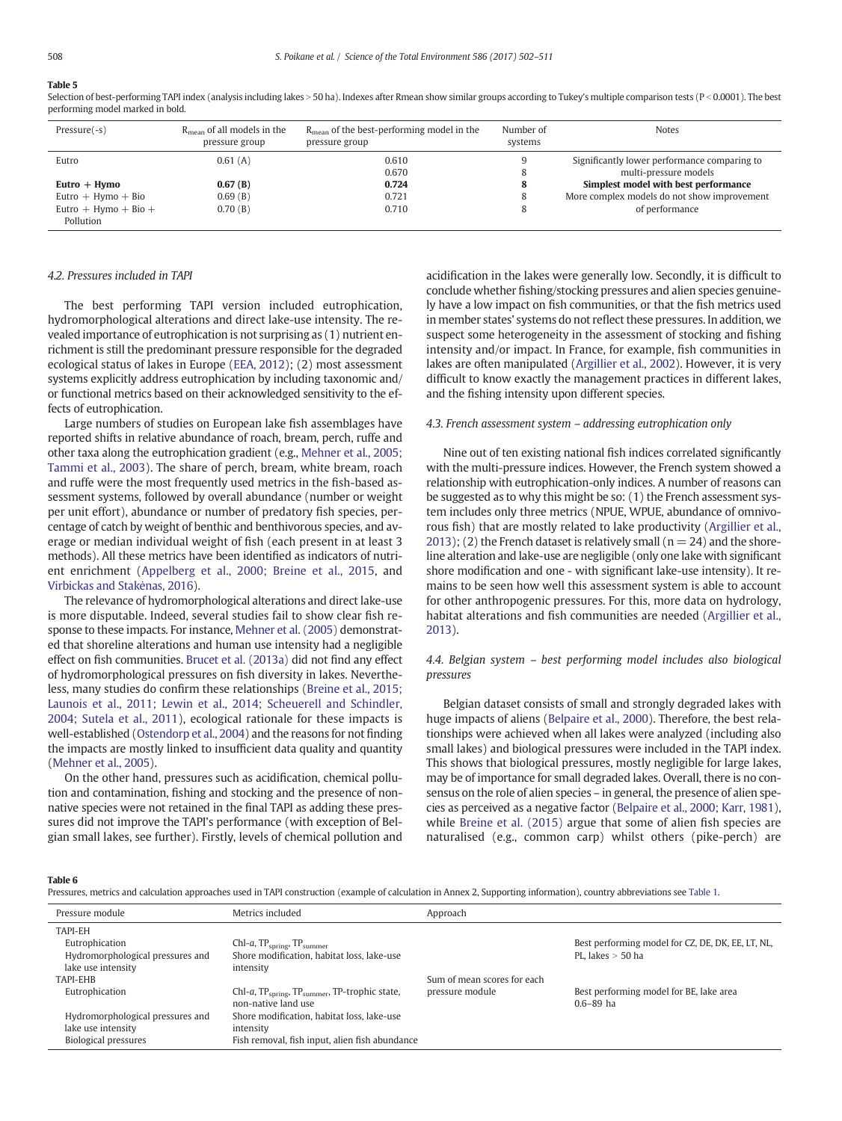## Table 5

Selection of best-performing TAPI index (analysis including lakes > 50 ha). Indexes after Rmean show similar groups according to Tukey's multiple comparison tests (P < 0.0001). The best performing model marked in bold.

| $Pressure(-s)$       | $R_{\text{mean}}$ of all models in the<br>pressure group | $R_{\text{mean}}$ of the best-performing model in the<br>pressure group | Number of<br>systems | <b>Notes</b>                                 |
|----------------------|----------------------------------------------------------|-------------------------------------------------------------------------|----------------------|----------------------------------------------|
| Eutro                | 0.61(A)                                                  | 0.610                                                                   |                      | Significantly lower performance comparing to |
|                      |                                                          | 0.670                                                                   |                      | multi-pressure models                        |
| $Eutro + Hymo$       | 0.67(B)                                                  | 0.724                                                                   | o                    | Simplest model with best performance         |
| $Eutro + Hymo + Bio$ | 0.69(B)                                                  | 0.721                                                                   |                      | More complex models do not show improvement  |
| Eutro + Hymo + Bio + | 0.70(B)                                                  | 0.710                                                                   |                      | of performance                               |
| Pollution            |                                                          |                                                                         |                      |                                              |

#### 4.2. Pressures included in TAPI

The best performing TAPI version included eutrophication, hydromorphological alterations and direct lake-use intensity. The revealed importance of eutrophication is not surprising as (1) nutrient enrichment is still the predominant pressure responsible for the degraded ecological status of lakes in Europe (EEA, 2012); (2) most assessment systems explicitly address eutrophication by including taxonomic and/ or functional metrics based on their acknowledged sensitivity to the effects of eutrophication.

Large numbers of studies on European lake fish assemblages have reported shifts in relative abundance of roach, bream, perch, ruffe and other taxa along the eutrophication gradient (e.g., Mehner et al., 2005; Tammi et al., 2003). The share of perch, bream, white bream, roach and ruffe were the most frequently used metrics in the fish-based assessment systems, followed by overall abundance (number or weight per unit effort), abundance or number of predatory fish species, percentage of catch by weight of benthic and benthivorous species, and average or median individual weight of fish (each present in at least 3 methods). All these metrics have been identified as indicators of nutrient enrichment (Appelberg et al., 2000; Breine et al., 2015, and Virbickas and Stakėnas, 2016).

The relevance of hydromorphological alterations and direct lake-use is more disputable. Indeed, several studies fail to show clear fish response to these impacts. For instance, Mehner et al. (2005) demonstrated that shoreline alterations and human use intensity had a negligible effect on fish communities. Brucet et al. (2013a) did not find any effect of hydromorphological pressures on fish diversity in lakes. Nevertheless, many studies do confirm these relationships (Breine et al., 2015; Launois et al., 2011; Lewin et al., 2014; Scheuerell and Schindler, 2004; Sutela et al., 2011), ecological rationale for these impacts is well-established (Ostendorp et al., 2004) and the reasons for not finding the impacts are mostly linked to insufficient data quality and quantity (Mehner et al., 2005).

On the other hand, pressures such as acidification, chemical pollution and contamination, fishing and stocking and the presence of nonnative species were not retained in the final TAPI as adding these pressures did not improve the TAPI's performance (with exception of Belgian small lakes, see further). Firstly, levels of chemical pollution and acidification in the lakes were generally low. Secondly, it is difficult to conclude whether fishing/stocking pressures and alien species genuinely have a low impact on fish communities, or that the fish metrics used in member states' systems do not reflect these pressures. In addition, we suspect some heterogeneity in the assessment of stocking and fishing intensity and/or impact. In France, for example, fish communities in lakes are often manipulated (Argillier et al., 2002). However, it is very difficult to know exactly the management practices in different lakes, and the fishing intensity upon different species.

#### 4.3. French assessment system – addressing eutrophication only

Nine out of ten existing national fish indices correlated significantly with the multi-pressure indices. However, the French system showed a relationship with eutrophication-only indices. A number of reasons can be suggested as to why this might be so: (1) the French assessment system includes only three metrics (NPUE, WPUE, abundance of omnivorous fish) that are mostly related to lake productivity (Argillier et al., 2013); (2) the French dataset is relatively small ( $n = 24$ ) and the shoreline alteration and lake-use are negligible (only one lake with significant shore modification and one - with significant lake-use intensity). It remains to be seen how well this assessment system is able to account for other anthropogenic pressures. For this, more data on hydrology, habitat alterations and fish communities are needed (Argillier et al., 2013).

## 4.4. Belgian system – best performing model includes also biological pressures

Belgian dataset consists of small and strongly degraded lakes with huge impacts of aliens (Belpaire et al., 2000). Therefore, the best relationships were achieved when all lakes were analyzed (including also small lakes) and biological pressures were included in the TAPI index. This shows that biological pressures, mostly negligible for large lakes, may be of importance for small degraded lakes. Overall, there is no consensus on the role of alien species – in general, the presence of alien species as perceived as a negative factor (Belpaire et al., 2000; Karr, 1981), while Breine et al. (2015) argue that some of alien fish species are naturalised (e.g., common carp) whilst others (pike-perch) are

#### Table 6

| Pressures, metrics and calculation approaches used in TAPI construction (example of calculation in Annex 2, Supporting information), country abbreviations see Table 1. |  |  |  |
|-------------------------------------------------------------------------------------------------------------------------------------------------------------------------|--|--|--|
|-------------------------------------------------------------------------------------------------------------------------------------------------------------------------|--|--|--|

| Pressure module                  | Metrics included                                                                              | Approach                    |                                                          |
|----------------------------------|-----------------------------------------------------------------------------------------------|-----------------------------|----------------------------------------------------------|
| <b>TAPI-EH</b>                   |                                                                                               |                             |                                                          |
| Eutrophication                   | $ChI-a, TPspring, TPsumer$                                                                    |                             | Best performing model for CZ, DE, DK, EE, LT, NL,        |
| Hydromorphological pressures and | Shore modification, habitat loss, lake-use                                                    |                             | PL. lakes $>$ 50 ha                                      |
| lake use intensity               | intensity                                                                                     |                             |                                                          |
| TAPI-EHB                         |                                                                                               | Sum of mean scores for each |                                                          |
| Eutrophication                   | Chl-a, TP <sub>spring</sub> , TP <sub>summer</sub> , TP-trophic state,<br>non-native land use | pressure module             | Best performing model for BE, lake area<br>$0.6 - 89$ ha |
| Hydromorphological pressures and | Shore modification, habitat loss, lake-use                                                    |                             |                                                          |
| lake use intensity               | intensity                                                                                     |                             |                                                          |
| <b>Biological pressures</b>      | Fish removal, fish input, alien fish abundance                                                |                             |                                                          |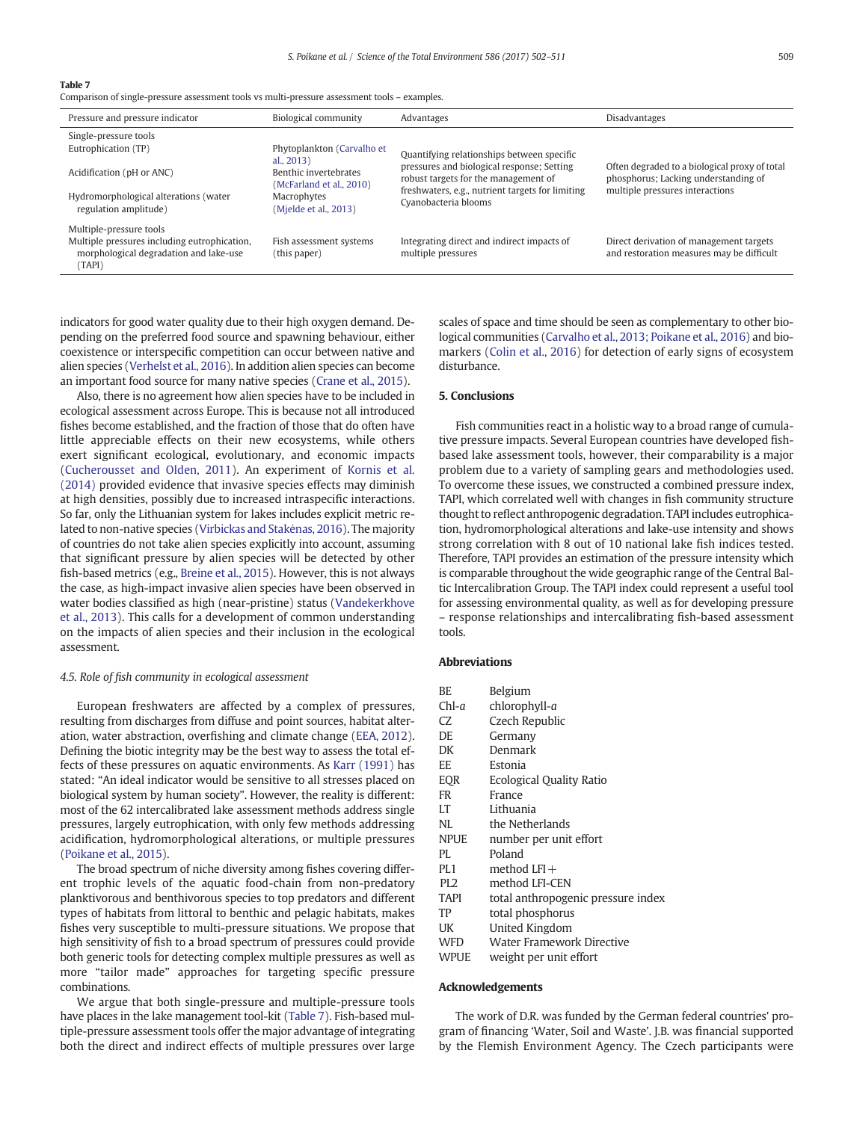Table 7

Comparison of single-pressure assessment tools vs multi-pressure assessment tools – examples.

| Pressure and pressure indicator                                                                  | Biological community                                               | Advantages                                                                         | Disadvantages                                                                         |
|--------------------------------------------------------------------------------------------------|--------------------------------------------------------------------|------------------------------------------------------------------------------------|---------------------------------------------------------------------------------------|
| Single-pressure tools                                                                            |                                                                    |                                                                                    |                                                                                       |
| Eutrophication (TP)                                                                              | Phytoplankton (Carvalho et                                         | Quantifying relationships between specific                                         |                                                                                       |
| Acidification (pH or ANC)                                                                        | al., $2013$ )<br>Benthic invertebrates<br>(McFarland et al., 2010) | pressures and biological response; Setting<br>robust targets for the management of | Often degraded to a biological proxy of total<br>phosphorus; Lacking understanding of |
| Hydromorphological alterations (water<br>regulation amplitude)                                   | Macrophytes<br>(Mjelde et al., 2013)                               | freshwaters, e.g., nutrient targets for limiting<br>Cyanobacteria blooms           | multiple pressures interactions                                                       |
| Multiple-pressure tools                                                                          |                                                                    |                                                                                    |                                                                                       |
| Multiple pressures including eutrophication,<br>morphological degradation and lake-use<br>(TAPI) | Fish assessment systems<br>(this paper)                            | Integrating direct and indirect impacts of<br>multiple pressures                   | Direct derivation of management targets<br>and restoration measures may be difficult  |

indicators for good water quality due to their high oxygen demand. Depending on the preferred food source and spawning behaviour, either coexistence or interspecific competition can occur between native and alien species (Verhelst et al., 2016). In addition alien species can become an important food source for many native species (Crane et al., 2015).

Also, there is no agreement how alien species have to be included in ecological assessment across Europe. This is because not all introduced fishes become established, and the fraction of those that do often have little appreciable effects on their new ecosystems, while others exert significant ecological, evolutionary, and economic impacts (Cucherousset and Olden, 2011). An experiment of Kornis et al. (2014) provided evidence that invasive species effects may diminish at high densities, possibly due to increased intraspecific interactions. So far, only the Lithuanian system for lakes includes explicit metric related to non-native species (Virbickas and Stakėnas, 2016). The majority of countries do not take alien species explicitly into account, assuming that significant pressure by alien species will be detected by other fish-based metrics (e.g., Breine et al., 2015). However, this is not always the case, as high-impact invasive alien species have been observed in water bodies classified as high (near-pristine) status (Vandekerkhove et al., 2013). This calls for a development of common understanding on the impacts of alien species and their inclusion in the ecological assessment.

#### 4.5. Role of fish community in ecological assessment

European freshwaters are affected by a complex of pressures, resulting from discharges from diffuse and point sources, habitat alteration, water abstraction, overfishing and climate change (EEA, 2012). Defining the biotic integrity may be the best way to assess the total effects of these pressures on aquatic environments. As Karr (1991) has stated: "An ideal indicator would be sensitive to all stresses placed on biological system by human society". However, the reality is different: most of the 62 intercalibrated lake assessment methods address single pressures, largely eutrophication, with only few methods addressing acidification, hydromorphological alterations, or multiple pressures (Poikane et al., 2015).

The broad spectrum of niche diversity among fishes covering different trophic levels of the aquatic food-chain from non-predatory planktivorous and benthivorous species to top predators and different types of habitats from littoral to benthic and pelagic habitats, makes fishes very susceptible to multi-pressure situations. We propose that high sensitivity of fish to a broad spectrum of pressures could provide both generic tools for detecting complex multiple pressures as well as more "tailor made" approaches for targeting specific pressure combinations.

We argue that both single-pressure and multiple-pressure tools have places in the lake management tool-kit (Table 7). Fish-based multiple-pressure assessment tools offer the major advantage of integrating both the direct and indirect effects of multiple pressures over large scales of space and time should be seen as complementary to other biological communities (Carvalho et al., 2013; Poikane et al., 2016) and biomarkers (Colin et al., 2016) for detection of early signs of ecosystem disturbance.

## 5. Conclusions

Fish communities react in a holistic way to a broad range of cumulative pressure impacts. Several European countries have developed fishbased lake assessment tools, however, their comparability is a major problem due to a variety of sampling gears and methodologies used. To overcome these issues, we constructed a combined pressure index, TAPI, which correlated well with changes in fish community structure thought to reflect anthropogenic degradation. TAPI includes eutrophication, hydromorphological alterations and lake-use intensity and shows strong correlation with 8 out of 10 national lake fish indices tested. Therefore, TAPI provides an estimation of the pressure intensity which is comparable throughout the wide geographic range of the Central Baltic Intercalibration Group. The TAPI index could represent a useful tool for assessing environmental quality, as well as for developing pressure – response relationships and intercalibrating fish-based assessment tools.

#### Abbreviations

| ВE          | Belgium                  |
|-------------|--------------------------|
| $Chl-a$     | chlorophyll-a            |
| CZ          | Czech Republic           |
| DE          | Germany                  |
| DK          | Denmark                  |
| EE          | Estonia                  |
| <b>EOR</b>  | Ecological Quality Ratio |
| <b>FR</b>   | France                   |
| LT          | Lithuania                |
| NL          | the Netherlands          |
| <b>NPUE</b> | number per unit effort   |

- 
- PL Poland
- $PL1$  method  $LFI +$
- PL2 method LFI-CEN
- TAPI total anthropogenic pressure index
- TP total phosphorus
- UK United Kingdom
- WFD Water Framework Directive
- WPUE weight per unit effort

#### Acknowledgements

The work of D.R. was funded by the German federal countries' program of financing 'Water, Soil and Waste'. J.B. was financial supported by the Flemish Environment Agency. The Czech participants were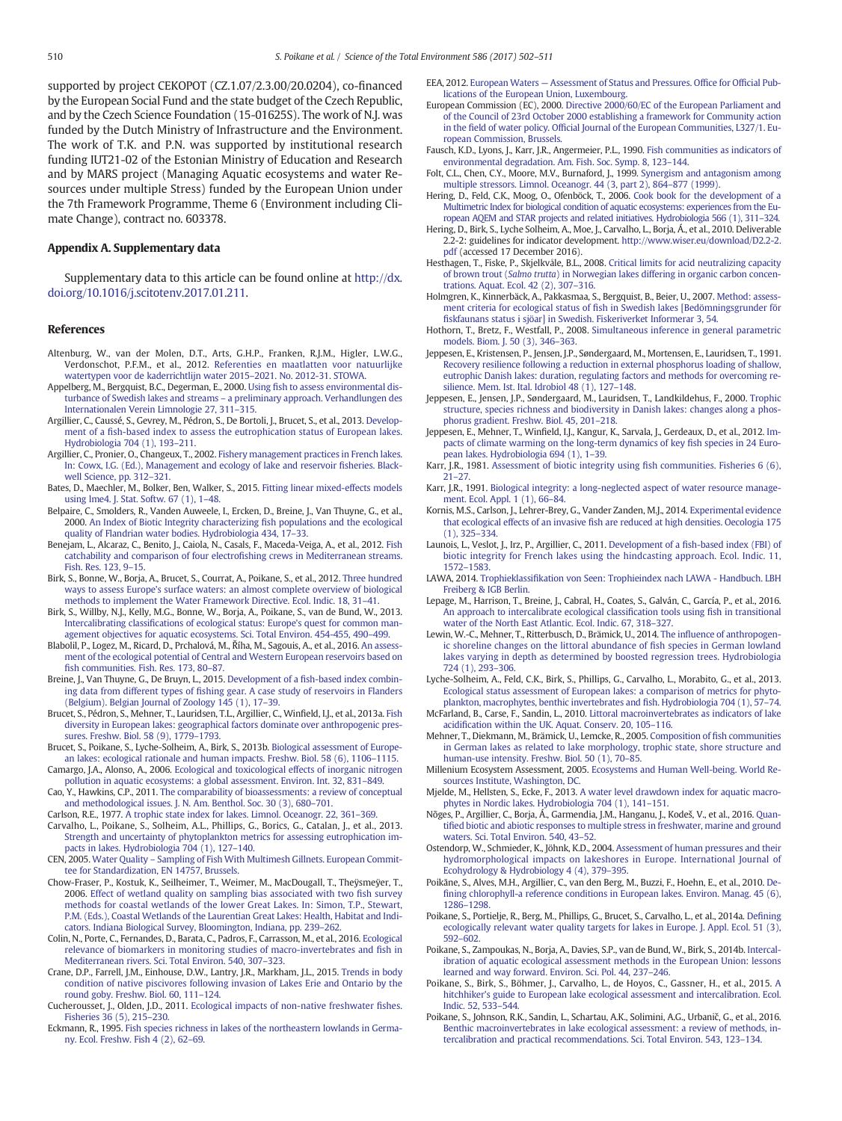supported by project CEKOPOT (CZ.1.07/2.3.00/20.0204), co-financed by the European Social Fund and the state budget of the Czech Republic, and by the Czech Science Foundation (15-01625S). The work of N.J. was funded by the Dutch Ministry of Infrastructure and the Environment. The work of T.K. and P.N. was supported by institutional research funding IUT21-02 of the Estonian Ministry of Education and Research and by MARS project (Managing Aquatic ecosystems and water Resources under multiple Stress) funded by the European Union under the 7th Framework Programme, Theme 6 (Environment including Climate Change), contract no. 603378.

#### Appendix A. Supplementary data

Supplementary data to this article can be found online at http://dx. doi.org/10.1016/j.scitotenv.2017.01.211.

## References

- Altenburg, W., van der Molen, D.T., Arts, G.H.P., Franken, R.J.M., Higler, L.W.G., Verdonschot, P.F.M., et al., 2012. Referenties en maatlatten voor natuurlijke watertypen voor de kaderrichtlijn water 2015–2021. No. 2012-31. STOWA.
- Appelberg, M., Bergquist, B.C., Degerman, E., 2000. Using fish to assess environmental disturbance of Swedish lakes and streams – a preliminary approach. Verhandlungen des Internationalen Verein Limnologie 27, 311–315.
- Argillier, C., Caussé, S., Gevrey, M., Pédron, S., De Bortoli, J., Brucet, S., et al., 2013. Development of a fish-based index to assess the eutrophication status of European lakes. Hydrobiologia 704 (1), 193–211.
- Argillier, C., Pronier, O., Changeux, T., 2002. Fishery management practices in French lakes. In: Cowx, I.G. (Ed.), Management and ecology of lake and reservoir fisheries. Blackwell Science, pp. 312–321.
- Bates, D., Maechler, M., Bolker, Ben, Walker, S., 2015. Fitting linear mixed-effects models using lme4. J. Stat. Softw. 67 (1), 1–48.
- Belpaire, C., Smolders, R., Vanden Auweele, I., Ercken, D., Breine, J., Van Thuyne, G., et al., 2000. An Index of Biotic Integrity characterizing fish populations and the ecological quality of Flandrian water bodies. Hydrobiologia 434, 17–33.
- Benejam, L., Alcaraz, C., Benito, J., Caiola, N., Casals, F., Maceda-Veiga, A., et al., 2012. Fish catchability and comparison of four electrofishing crews in Mediterranean streams. Fish. Res. 123, 9–15.
- Birk, S., Bonne, W., Borja, A., Brucet, S., Courrat, A., Poikane, S., et al., 2012. Three hundred ways to assess Europe's surface waters: an almost complete overview of biological methods to implement the Water Framework Directive. Ecol. Indic. 18, 31–41.
- Birk, S., Willby, N.J., Kelly, M.G., Bonne, W., Borja, A., Poikane, S., van de Bund, W., 2013. Intercalibrating classifications of ecological status: Europe's quest for common management objectives for aquatic ecosystems. Sci. Total Environ. 454-455, 490–499.
- Blabolil, P., Logez, M., Ricard, D., Prchalová, M., Říha, M., Sagouis, A., et al., 2016. An assessment of the ecological potential of Central and Western European reservoirs based on fish communities. Fish. Res. 173, 80–87.
- Breine, J., Van Thuyne, G., De Bruyn, L., 2015. Development of a fish-based index combining data from different types of fishing gear. A case study of reservoirs in Flanders (Belgium). Belgian Journal of Zoology 145 (1), 17–39.
- Brucet, S., Pédron, S., Mehner, T., Lauridsen, T.L., Argillier, C., Winfield, I.J., et al., 2013a. Fish diversity in European lakes: geographical factors dominate over anthropogenic pressures. Freshw. Biol. 58 (9), 1779–1793.
- Brucet, S., Poikane, S., Lyche-Solheim, A., Birk, S., 2013b. Biological assessment of European lakes: ecological rationale and human impacts. Freshw. Biol. 58 (6), 1106–1115.
- Camargo, J.A., Alonso, A., 2006. Ecological and toxicological effects of inorganic nitrogen pollution in aquatic ecosystems: a global assessment. Environ. Int. 32, 831–849. Cao, Y., Hawkins, C.P., 2011. The comparability of bioassessments: a review of conceptual
- and methodological issues. J. N. Am. Benthol. Soc. 30 (3), 680–701.
- Carlson, R.E., 1977. A trophic state index for lakes. Limnol. Oceanogr. 22, 361–369.
- Carvalho, L., Poikane, S., Solheim, A.L., Phillips, G., Borics, G., Catalan, J., et al., 2013. Strength and uncertainty of phytoplankton metrics for assessing eutrophication impacts in lakes. Hydrobiologia 704 (1), 127–140.
- CEN, 2005. Water Quality Sampling of Fish With Multimesh Gillnets. European Committee for Standardization, EN 14757, Brussels.
- Chow-Fraser, P., Kostuk, K., Seilheimer, T., Weimer, M., MacDougall, T., Theÿsmeÿer, T., 2006. Effect of wetland quality on sampling bias associated with two fish survey methods for coastal wetlands of the lower Great Lakes. In: Simon, T.P., Stewart, P.M. (Eds.), Coastal Wetlands of the Laurentian Great Lakes: Health, Habitat and Indicators. Indiana Biological Survey, Bloomington, Indiana, pp. 239–262.
- Colin, N., Porte, C., Fernandes, D., Barata, C., Padros, F., Carrasson, M., et al., 2016. Ecological relevance of biomarkers in monitoring studies of macro-invertebrates and fish in Mediterranean rivers. Sci. Total Environ. 540, 307–323.
- Crane, D.P., Farrell, J.M., Einhouse, D.W., Lantry, J.R., Markham, J.L., 2015. Trends in body condition of native piscivores following invasion of Lakes Erie and Ontario by the round goby. Freshw. Biol. 60, 111–124.
- Cucherousset, J., Olden, J.D., 2011. Ecological impacts of non-native freshwater fishes. Fisheries 36 (5), 215–230.
- Eckmann, R., 1995. Fish species richness in lakes of the northeastern lowlands in Germany. Ecol. Freshw. Fish 4 (2), 62–69.
- EEA, 2012. European Waters Assessment of Status and Pressures. Office for Official Publications of the European Union, Luxembourg.
- European Commission (EC), 2000. Directive 2000/60/EC of the European Parliament and of the Council of 23rd October 2000 establishing a framework for Community action in the field of water policy. Official Journal of the European Communities, L327/1. European Commission, Brussels.
- Fausch, K.D., Lyons, J., Karr, J.R., Angermeier, P.L., 1990. Fish communities as indicators of environmental degradation. Am. Fish. Soc. Symp. 8, 123–144.
- Folt, C.L., Chen, C.Y., Moore, M.V., Burnaford, J., 1999. Synergism and antagonism among multiple stressors. Limnol. Oceanogr. 44 (3, part 2), 864–877 (1999).
- Hering, D., Feld, C.K., Moog, O., Ofenböck, T., 2006. Cook book for the development of a Multimetric Index for biological condition of aquatic ecosystems: experiences from the European AQEM and STAR projects and related initiatives. Hydrobiologia 566 (1), 311–324.
- Hering, D., Birk, S., Lyche Solheim, A., Moe, J., Carvalho, L., Borja, Á., et al., 2010. Deliverable 2.2-2: guidelines for indicator development. http://www.wiser.eu/download/D2.2-2. pdf (accessed 17 December 2016).
- Hesthagen, T., Fiske, P., Skjelkvåle, B.L., 2008. Critical limits for acid neutralizing capacity of brown trout (Salmo trutta) in Norwegian lakes differing in organic carbon concentrations. Aquat. Ecol. 42 (2), 307–316.
- Holmgren, K., Kinnerbäck, A., Pakkasmaa, S., Bergquist, B., Beier, U., 2007. Method: assessment criteria for ecological status of fish in Swedish lakes [Bedömningsgrunder för fiskfaunans status i sjöar] in Swedish. Fiskeriverket Informerar 3, 54.
- Hothorn, T., Bretz, F., Westfall, P., 2008. Simultaneous inference in general parametric models. Biom. J. 50 (3), 346–363.
- Jeppesen, E., Kristensen, P., Jensen, J.P., Søndergaard, M., Mortensen, E., Lauridsen, T., 1991. Recovery resilience following a reduction in external phosphorus loading of shallow, eutrophic Danish lakes: duration, regulating factors and methods for overcoming resilience. Mem. Ist. Ital. Idrobiol 48 (1), 127–148.
- Jeppesen, E., Jensen, J.P., Søndergaard, M., Lauridsen, T., Landkildehus, F., 2000. Trophic structure, species richness and biodiversity in Danish lakes: changes along a phosphorus gradient. Freshw. Biol. 45, 201–218.
- Jeppesen, E., Mehner, T., Winfield, I.J., Kangur, K., Sarvala, J., Gerdeaux, D., et al., 2012. Impacts of climate warming on the long-term dynamics of key fish species in 24 European lakes. Hydrobiologia 694 (1), 1–39.
- Karr, J.R., 1981. Assessment of biotic integrity using fish communities. Fisheries 6 (6), 21–27.
- Karr, J.R., 1991. Biological integrity: a long-neglected aspect of water resource management. Ecol. Appl. 1 (1), 66–84.
- Kornis, M.S., Carlson, J., Lehrer-Brey, G., Vander Zanden, M.J., 2014. Experimental evidence that ecological effects of an invasive fish are reduced at high densities. Oecologia 175 (1), 325–334.
- Launois, L., Veslot, J., Irz, P., Argillier, C., 2011. Development of a fish-based index (FBI) of biotic integrity for French lakes using the hindcasting approach. Ecol. Indic. 11, 1572–1583.
- LAWA, 2014. Trophieklassifikation von Seen: Trophieindex nach LAWA Handbuch. LBH Freiberg & IGB Berlin.
- Lepage, M., Harrison, T., Breine, J., Cabral, H., Coates, S., Galván, C., García, P., et al., 2016. An approach to intercalibrate ecological classification tools using fish in transitional water of the North East Atlantic. Ecol. Indic. 67, 318–327.
- Lewin, W.-C., Mehner, T., Ritterbusch, D., Brämick, U., 2014. The influence of anthropogenic shoreline changes on the littoral abundance of fish species in German lowland lakes varying in depth as determined by boosted regression trees. Hydrobiologia 724 (1), 293–306.
- Lyche-Solheim, A., Feld, C.K., Birk, S., Phillips, G., Carvalho, L., Morabito, G., et al., 2013. Ecological status assessment of European lakes: a comparison of metrics for phytoplankton, macrophytes, benthic invertebrates and fish. Hydrobiologia 704 (1), 57–74.

McFarland, B., Carse, F., Sandin, L., 2010. Littoral macroinvertebrates as indicators of lake acidification within the UK. Aquat. Conserv. 20, 105–116.

- Mehner, T., Diekmann, M., Brämick, U., Lemcke, R., 2005. Composition of fish communities in German lakes as related to lake morphology, trophic state, shore structure and human-use intensity. Freshw. Biol. 50 (1), 70–85.
- Millenium Ecosystem Assessment, 2005. Ecosystems and Human Well-being. World Resources Institute, Washington, DC.
- Mjelde, M., Hellsten, S., Ecke, F., 2013. A water level drawdown index for aquatic macrophytes in Nordic lakes. Hydrobiologia 704 (1), 141–151.
- Nõges, P., Argillier, C., Borja, Á., Garmendia, J.M., Hanganu, J., Kodeš, V., et al., 2016. Quantified biotic and abiotic responses to multiple stress in freshwater, marine and ground waters. Sci. Total Environ. 540, 43–52.
- Ostendorp, W., Schmieder, K., Jöhnk, K.D., 2004. Assessment of human pressures and their hydromorphological impacts on lakeshores in Europe. International Journal of Ecohydrology & Hydrobiology 4 (4), 379–395.
- Poikāne, S., Alves, M.H., Argillier, C., van den Berg, M., Buzzi, F., Hoehn, E., et al., 2010. Defining chlorophyll-a reference conditions in European lakes. Environ. Manag. 45 (6), 1286–1298.
- Poikane, S., Portielje, R., Berg, M., Phillips, G., Brucet, S., Carvalho, L., et al., 2014a. Defining ecologically relevant water quality targets for lakes in Europe. J. Appl. Ecol. 51 (3), 592–602.
- Poikane, S., Zampoukas, N., Borja, A., Davies, S.P., van de Bund, W., Birk, S., 2014b. Intercalibration of aquatic ecological assessment methods in the European Union: lessons learned and way forward. Environ. Sci. Pol. 44, 237–246.
- Poikane, S., Birk, S., Böhmer, J., Carvalho, L., de Hoyos, C., Gassner, H., et al., 2015. A hitchhiker's guide to European lake ecological assessment and intercalibration. Ecol. Indic. 52, 533–544.
- Poikane, S., Johnson, R.K., Sandin, L., Schartau, A.K., Solimini, A.G., Urbanič, G., et al., 2016. Benthic macroinvertebrates in lake ecological assessment: a review of methods, intercalibration and practical recommendations. Sci. Total Environ. 543, 123–134.